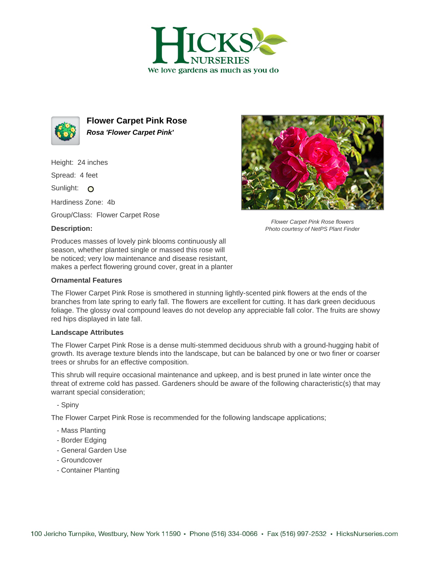



**Flower Carpet Pink Rose Rosa 'Flower Carpet Pink'**

Height: 24 inches

Spread: 4 feet

Sunlight: O

Hardiness Zone: 4b

Group/Class: Flower Carpet Rose

## **Description:**

Produces masses of lovely pink blooms continuously all season, whether planted single or massed this rose will be noticed; very low maintenance and disease resistant, makes a perfect flowering ground cover, great in a planter

## **Ornamental Features**



## **Landscape Attributes**

The Flower Carpet Pink Rose is a dense multi-stemmed deciduous shrub with a ground-hugging habit of growth. Its average texture blends into the landscape, but can be balanced by one or two finer or coarser trees or shrubs for an effective composition.

This shrub will require occasional maintenance and upkeep, and is best pruned in late winter once the threat of extreme cold has passed. Gardeners should be aware of the following characteristic(s) that may warrant special consideration;

- Spiny

The Flower Carpet Pink Rose is recommended for the following landscape applications;

- Mass Planting
- Border Edging
- General Garden Use
- Groundcover
- Container Planting



Flower Carpet Pink Rose flowers Photo courtesy of NetPS Plant Finder